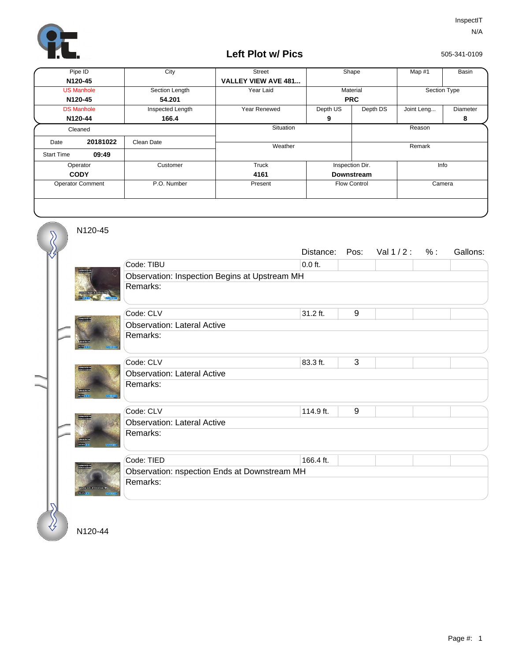

## **Left Plot w/ Pics**

505-341-0109

| Pipe ID                 |          | City             | <b>Street</b>              | Shape               |          | Map #1       | Basin    |
|-------------------------|----------|------------------|----------------------------|---------------------|----------|--------------|----------|
| N120-45                 |          |                  | <b>VALLEY VIEW AVE 481</b> |                     |          |              |          |
| <b>US Manhole</b>       |          | Section Length   | Year Laid                  | Material            |          | Section Type |          |
| N120-45                 |          | 54.201           |                            | <b>PRC</b>          |          |              |          |
| <b>DS Manhole</b>       |          | Inspected Length | Year Renewed               | Depth US            | Depth DS | Joint Leng   | Diameter |
| N120-44                 |          | 166.4            |                            | 9                   |          |              | 8        |
| Cleaned                 |          |                  | Situation                  |                     |          | Reason       |          |
| Date                    | 20181022 | Clean Date       | Weather                    |                     |          | Remark       |          |
| <b>Start Time</b>       | 09:49    |                  |                            |                     |          |              |          |
| Operator                |          | Customer         | Truck                      | Inspection Dir.     |          | Info         |          |
| <b>CODY</b>             |          |                  | 4161                       | Downstream          |          |              |          |
| <b>Operator Comment</b> |          | P.O. Number      | Present                    | <b>Flow Control</b> |          | Camera       |          |
|                         |          |                  |                            |                     |          |              |          |

N120-45

 $\delta$ 

|  |                                                   |                                               | Distance: | Pos: | Val $1/2$ : | % : | Gallons: |  |  |
|--|---------------------------------------------------|-----------------------------------------------|-----------|------|-------------|-----|----------|--|--|
|  |                                                   | Code: TIBU                                    | $0.0$ ft. |      |             |     |          |  |  |
|  |                                                   | Observation: Inspection Begins at Upstream MH |           |      |             |     |          |  |  |
|  |                                                   | Remarks:                                      |           |      |             |     |          |  |  |
|  | esin.                                             | Code: CLV                                     | 31.2 ft.  | 9    |             |     |          |  |  |
|  |                                                   | <b>Observation: Lateral Active</b>            |           |      |             |     |          |  |  |
|  |                                                   | Remarks:                                      |           |      |             |     |          |  |  |
|  |                                                   | Code: CLV                                     | 83.3 ft.  | 3    |             |     |          |  |  |
|  | 5100 MITOLOGI<br>EMANUSCRIA<br><b>CREAT ACLIN</b> | <b>Observation: Lateral Active</b>            |           |      |             |     |          |  |  |
|  |                                                   | Remarks:                                      |           |      |             |     |          |  |  |
|  |                                                   |                                               |           |      |             |     |          |  |  |
|  |                                                   | Code: CLV                                     | 114.9 ft. | 9    |             |     |          |  |  |
|  |                                                   | <b>Observation: Lateral Active</b>            |           |      |             |     |          |  |  |
|  | -<br><b>CONTRACTOR</b>                            | Remarks:                                      |           |      |             |     |          |  |  |
|  |                                                   | Code: TIED                                    | 166.4 ft. |      |             |     |          |  |  |
|  |                                                   | Observation: nspection Ends at Downstream MH  |           |      |             |     |          |  |  |
|  |                                                   | Remarks:                                      |           |      |             |     |          |  |  |
|  | <b>COLL</b>                                       |                                               |           |      |             |     |          |  |  |
|  |                                                   |                                               |           |      |             |     |          |  |  |
|  |                                                   |                                               |           |      |             |     |          |  |  |
|  | N120-44                                           |                                               |           |      |             |     |          |  |  |

N120-44